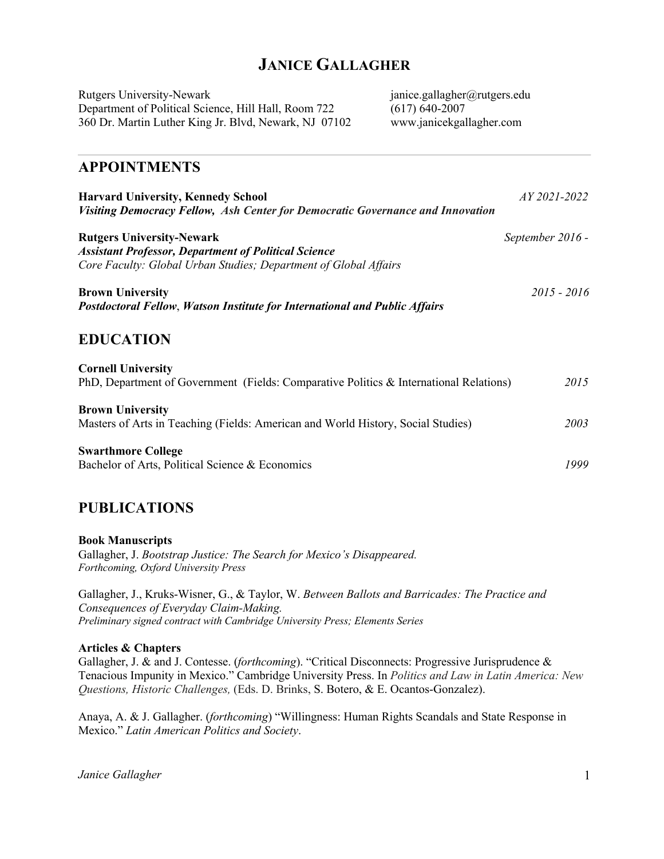# **JANICE GALLAGHER**

Rutgers University-Newark janice.gallagher@rutgers.edu<br>Department of Political Science, Hill Hall, Room 722 (617) 640-2007 Department of Political Science, Hill Hall, Room 722 360 Dr. Martin Luther King Jr. Blvd, Newark, NJ 07102 www.janicekgallagher.com

### **APPOINTMENTS**

| <b>Harvard University, Kennedy School</b><br>Visiting Democracy Fellow, Ash Center for Democratic Governance and Innovation                                         | <i>AY</i> 2021-2022 |
|---------------------------------------------------------------------------------------------------------------------------------------------------------------------|---------------------|
| <b>Rutgers University-Newark</b><br><b>Assistant Professor, Department of Political Science</b><br>Core Faculty: Global Urban Studies; Department of Global Affairs | September 2016 -    |
| <b>Brown University</b><br><b>Postdoctoral Fellow, Watson Institute for International and Public Affairs</b>                                                        | $2015 - 2016$       |
| <b>EDUCATION</b>                                                                                                                                                    |                     |
| <b>Cornell University</b><br>PhD, Department of Government (Fields: Comparative Politics & International Relations)                                                 | 2015                |
| <b>Brown University</b><br>Masters of Arts in Teaching (Fields: American and World History, Social Studies)                                                         | 2003                |
| <b>Swarthmore College</b><br>Bachelor of Arts, Political Science & Economics                                                                                        | 1999                |

### **PUBLICATIONS**

**Book Manuscripts** Gallagher, J. *Bootstrap Justice: The Search for Mexico's Disappeared. Forthcoming, Oxford University Press*

Gallagher, J., Kruks-Wisner, G., & Taylor, W. *Between Ballots and Barricades: The Practice and Consequences of Everyday Claim-Making. Preliminary signed contract with Cambridge University Press; Elements Series*

#### **Articles & Chapters**

Gallagher, J. & and J. Contesse. (*forthcoming*). "Critical Disconnects: Progressive Jurisprudence & Tenacious Impunity in Mexico." Cambridge University Press. In *Politics and Law in Latin America: New Questions, Historic Challenges,* (Eds. D. Brinks, S. Botero, & E. Ocantos-Gonzalez).

Anaya, A. & J. Gallagher. (*forthcoming*) "Willingness: Human Rights Scandals and State Response in Mexico." *Latin American Politics and Society*.

*Janice Gallagher* 1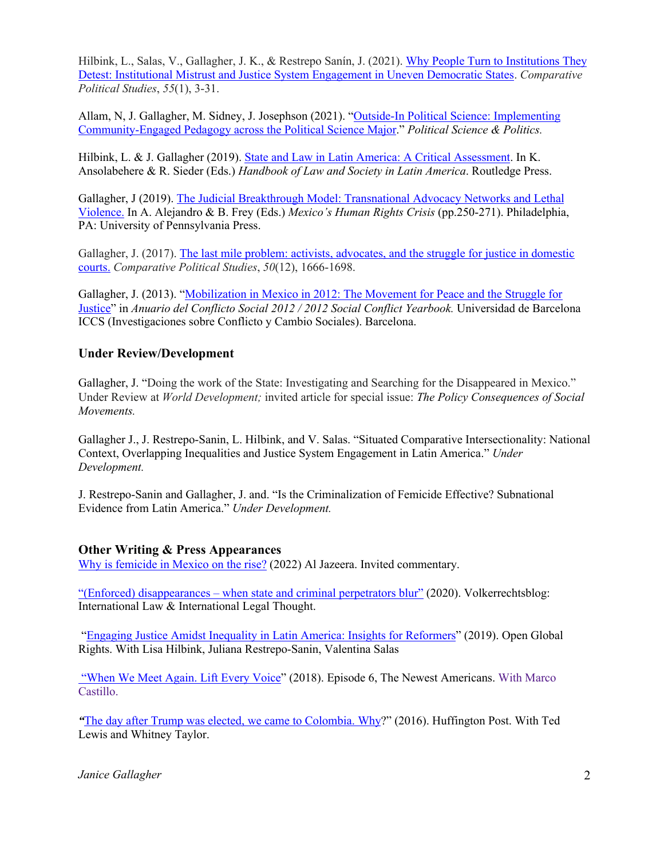Hilbink, L., Salas, V., Gallagher, J. K., & Restrepo Sanín, J. (2021). Why People Turn to Institutions They Detest: Institutional Mistrust and Justice System Engagement in Uneven Democratic States. *Comparative Political Studies*, *55*(1), 3-31.

Allam, N, J. Gallagher, M. Sidney, J. Josephson (2021). "Outside-In Political Science: Implementing Community-Engaged Pedagogy across the Political Science Major." *Political Science & Politics.*

Hilbink, L. & J. Gallagher (2019). State and Law in Latin America: A Critical Assessment. In K. Ansolabehere & R. Sieder (Eds.) *Handbook of Law and Society in Latin America*. Routledge Press.

Gallagher, J (2019). The Judicial Breakthrough Model: Transnational Advocacy Networks and Lethal Violence. In A. Alejandro & B. Frey (Eds.) *Mexico's Human Rights Crisis* (pp.250-271). Philadelphia, PA: University of Pennsylvania Press.

Gallagher, J. (2017). The last mile problem: activists, advocates, and the struggle for justice in domestic courts. *Comparative Political Studies*, *50*(12), 1666-1698.

Gallagher, J. (2013). "Mobilization in Mexico in 2012: The Movement for Peace and the Struggle for Justice" in *Anuario del Conflicto Social 2012 / 2012 Social Conflict Yearbook.* Universidad de Barcelona ICCS (Investigaciones sobre Conflicto y Cambio Sociales). Barcelona.

#### **Under Review/Development**

Gallagher, J. "Doing the work of the State: Investigating and Searching for the Disappeared in Mexico." Under Review at *World Development;* invited article for special issue: *The Policy Consequences of Social Movements.* 

Gallagher J., J. Restrepo-Sanin, L. Hilbink, and V. Salas. "Situated Comparative Intersectionality: National Context, Overlapping Inequalities and Justice System Engagement in Latin America." *Under Development.*

J. Restrepo-Sanin and Gallagher, J. and. "Is the Criminalization of Femicide Effective? Subnational Evidence from Latin America." *Under Development.*

#### **Other Writing & Press Appearances**

Why is femicide in Mexico on the rise? (2022) Al Jazeera. Invited commentary.

"(Enforced) disappearances – when state and criminal perpetrators blur" (2020). Volkerrechtsblog: International Law & International Legal Thought.

"Engaging Justice Amidst Inequality in Latin America: Insights for Reformers" (2019). Open Global Rights. With Lisa Hilbink, Juliana Restrepo-Sanin, Valentina Salas

"When We Meet Again. Lift Every Voice" (2018). Episode 6, The Newest Americans. With Marco Castillo.

*"*The day after Trump was elected, we came to Colombia. Why?" (2016). Huffington Post. With Ted Lewis and Whitney Taylor.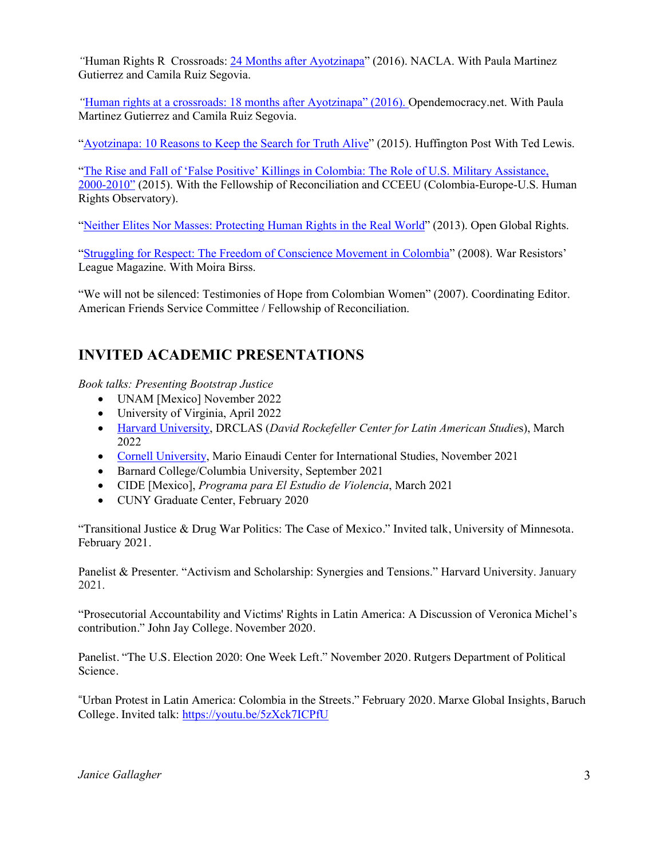*"*Human Rights R Crossroads: 24 Months after Ayotzinapa" (2016). NACLA. With Paula Martinez Gutierrez and Camila Ruiz Segovia.

*"*Human rights at a crossroads: 18 months after Ayotzinapa" (2016). Opendemocracy.net. With Paula Martinez Gutierrez and Camila Ruiz Segovia.

"Ayotzinapa: 10 Reasons to Keep the Search for Truth Alive" (2015). Huffington Post With Ted Lewis.

"The Rise and Fall of 'False Positive' Killings in Colombia: The Role of U.S. Military Assistance, 2000-2010" (2015). With the Fellowship of Reconciliation and CCEEU (Colombia-Europe-U.S. Human Rights Observatory).

"Neither Elites Nor Masses: Protecting Human Rights in the Real World" (2013). Open Global Rights.

"Struggling for Respect: The Freedom of Conscience Movement in Colombia" (2008). War Resistors' League Magazine. With Moira Birss.

"We will not be silenced: Testimonies of Hope from Colombian Women" (2007). Coordinating Editor. American Friends Service Committee / Fellowship of Reconciliation.

# **INVITED ACADEMIC PRESENTATIONS**

*Book talks: Presenting Bootstrap Justice*

- UNAM [Mexico] November 2022
- University of Virginia, April 2022
- Harvard University, DRCLAS (*David Rockefeller Center for Latin American Studie*s), March 2022
- Cornell University, Mario Einaudi Center for International Studies, November 2021
- Barnard College/Columbia University, September 2021
- CIDE [Mexico], *Programa para El Estudio de Violencia*, March 2021
- CUNY Graduate Center, February 2020

"Transitional Justice & Drug War Politics: The Case of Mexico." Invited talk, University of Minnesota. February 2021.

Panelist & Presenter. "Activism and Scholarship: Synergies and Tensions." Harvard University. January 2021.

"Prosecutorial Accountability and Victims' Rights in Latin America: A Discussion of Veronica Michel's contribution." John Jay College. November 2020.

Panelist. "The U.S. Election 2020: One Week Left." November 2020. Rutgers Department of Political Science.

"Urban Protest in Latin America: Colombia in the Streets." February 2020. Marxe Global Insights, Baruch College. Invited talk: https://youtu.be/5zXck7ICPfU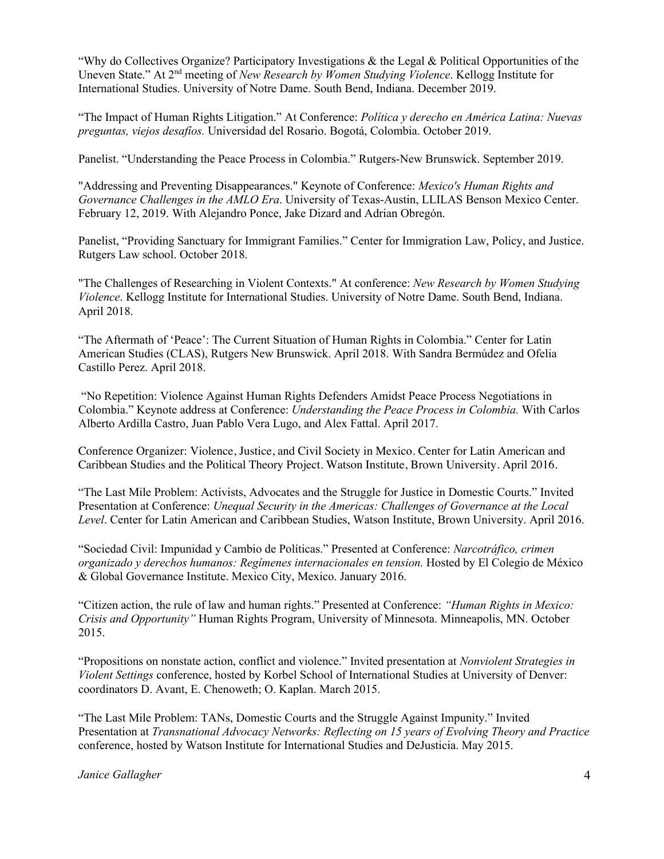"Why do Collectives Organize? Participatory Investigations & the Legal & Political Opportunities of the Uneven State." At 2nd meeting of *New Research by Women Studying Violence*. Kellogg Institute for International Studies. University of Notre Dame. South Bend, Indiana. December 2019.

"The Impact of Human Rights Litigation." At Conference: *Política y derecho en América Latina: Nuevas preguntas, viejos desafíos.* Universidad del Rosario. Bogotá, Colombia. October 2019.

Panelist. "Understanding the Peace Process in Colombia." Rutgers-New Brunswick. September 2019.

"Addressing and Preventing Disappearances." Keynote of Conference: *Mexico's Human Rights and Governance Challenges in the AMLO Era*. University of Texas-Austin, LLILAS Benson Mexico Center. February 12, 2019. With Alejandro Ponce, Jake Dizard and Adrian Obregón.

Panelist, "Providing Sanctuary for Immigrant Families." Center for Immigration Law, Policy, and Justice. Rutgers Law school. October 2018.

"The Challenges of Researching in Violent Contexts." At conference: *New Research by Women Studying Violence*. Kellogg Institute for International Studies. University of Notre Dame. South Bend, Indiana. April 2018.

"The Aftermath of 'Peace': The Current Situation of Human Rights in Colombia." Center for Latin American Studies (CLAS), Rutgers New Brunswick. April 2018. With Sandra Bermúdez and Ofelia Castillo Perez. April 2018.

"No Repetition: Violence Against Human Rights Defenders Amidst Peace Process Negotiations in Colombia." Keynote address at Conference: *Understanding the Peace Process in Colombia.* With Carlos Alberto Ardilla Castro, Juan Pablo Vera Lugo, and Alex Fattal. April 2017.

Conference Organizer: Violence, Justice, and Civil Society in Mexico. Center for Latin American and Caribbean Studies and the Political Theory Project. Watson Institute, Brown University. April 2016.

"The Last Mile Problem: Activists, Advocates and the Struggle for Justice in Domestic Courts." Invited Presentation at Conference: *Unequal Security in the Americas: Challenges of Governance at the Local Level*. Center for Latin American and Caribbean Studies, Watson Institute, Brown University. April 2016.

"Sociedad Civil: Impunidad y Cambio de Políticas." Presented at Conference: *Narcotráfico, crimen organizado y derechos humanos: Regímenes internacionales en tension.* Hosted by El Colegio de México & Global Governance Institute. Mexico City, Mexico. January 2016.

"Citizen action, the rule of law and human rights." Presented at Conference: *"Human Rights in Mexico: Crisis and Opportunity"* Human Rights Program, University of Minnesota. Minneapolis, MN. October 2015.

"Propositions on nonstate action, conflict and violence." Invited presentation at *Nonviolent Strategies in Violent Settings* conference, hosted by Korbel School of International Studies at University of Denver: coordinators D. Avant, E. Chenoweth; O. Kaplan. March 2015.

"The Last Mile Problem: TANs, Domestic Courts and the Struggle Against Impunity." Invited Presentation at *Transnational Advocacy Networks: Reflecting on 15 years of Evolving Theory and Practice*  conference, hosted by Watson Institute for International Studies and DeJusticia. May 2015.

*Janice Gallagher* 4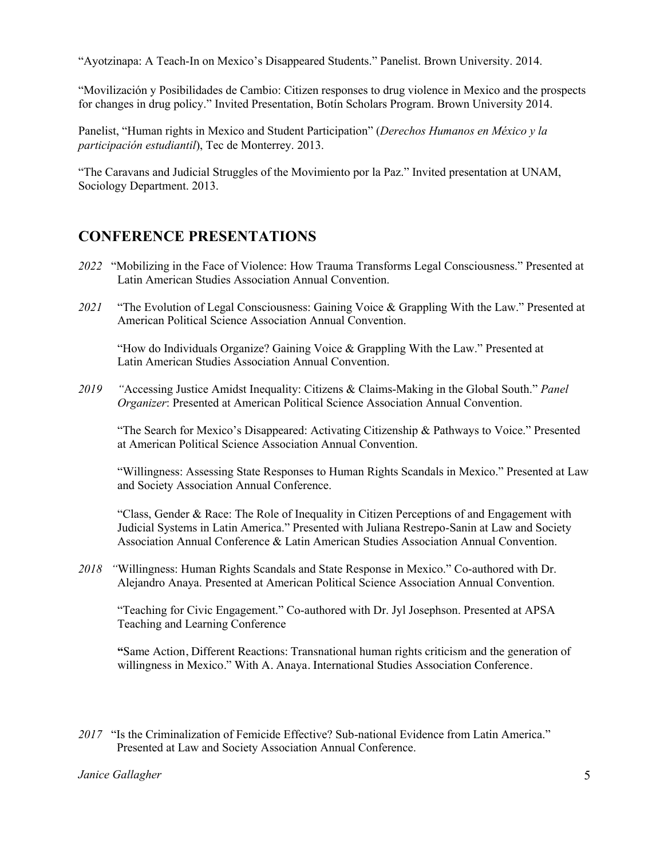"Ayotzinapa: A Teach-In on Mexico's Disappeared Students." Panelist. Brown University. 2014.

"Movilización y Posibilidades de Cambio: Citizen responses to drug violence in Mexico and the prospects for changes in drug policy." Invited Presentation, Botín Scholars Program. Brown University 2014.

Panelist, "Human rights in Mexico and Student Participation" (*Derechos Humanos en México y la participación estudiantil*), Tec de Monterrey. 2013.

"The Caravans and Judicial Struggles of the Movimiento por la Paz." Invited presentation at UNAM, Sociology Department. 2013.

### **CONFERENCE PRESENTATIONS**

- *2022*"Mobilizing in the Face of Violence: How Trauma Transforms Legal Consciousness." Presented at Latin American Studies Association Annual Convention.
- *2021* "The Evolution of Legal Consciousness: Gaining Voice & Grappling With the Law." Presented at American Political Science Association Annual Convention.

"How do Individuals Organize? Gaining Voice & Grappling With the Law." Presented at Latin American Studies Association Annual Convention.

*2019 "*Accessing Justice Amidst Inequality: Citizens & Claims-Making in the Global South." *Panel Organizer*: Presented at American Political Science Association Annual Convention.

"The Search for Mexico's Disappeared: Activating Citizenship & Pathways to Voice." Presented at American Political Science Association Annual Convention.

"Willingness: Assessing State Responses to Human Rights Scandals in Mexico." Presented at Law and Society Association Annual Conference.

"Class, Gender & Race: The Role of Inequality in Citizen Perceptions of and Engagement with Judicial Systems in Latin America." Presented with Juliana Restrepo-Sanin at Law and Society Association Annual Conference & Latin American Studies Association Annual Convention.

*2018 "*Willingness: Human Rights Scandals and State Response in Mexico." Co-authored with Dr. Alejandro Anaya. Presented at American Political Science Association Annual Convention.

"Teaching for Civic Engagement." Co-authored with Dr. Jyl Josephson. Presented at APSA Teaching and Learning Conference

**"**Same Action, Different Reactions: Transnational human rights criticism and the generation of willingness in Mexico." With A. Anaya. International Studies Association Conference.

*2017* "Is the Criminalization of Femicide Effective? Sub-national Evidence from Latin America." Presented at Law and Society Association Annual Conference.

#### *Janice Gallagher* 5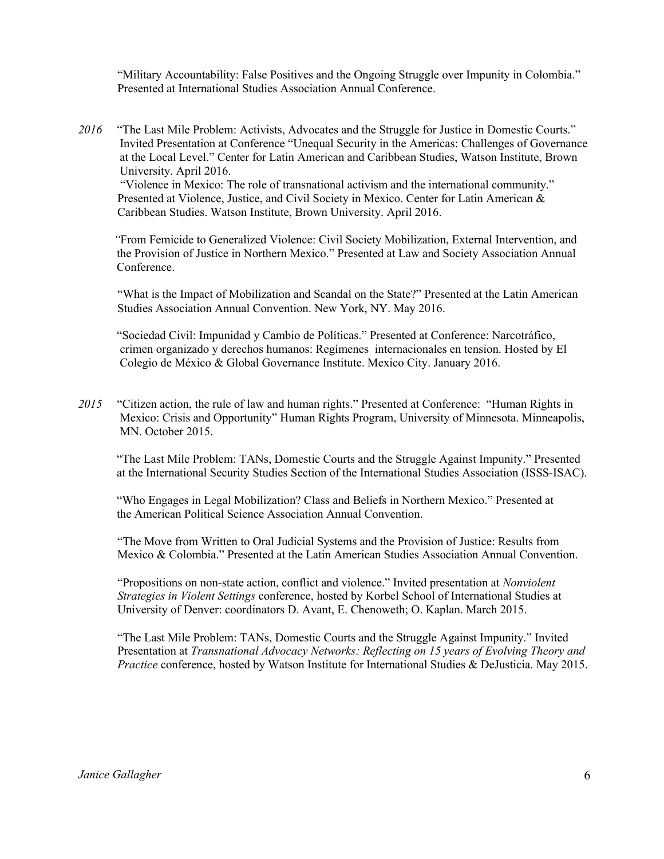"Military Accountability: False Positives and the Ongoing Struggle over Impunity in Colombia." Presented at International Studies Association Annual Conference.

*2016* "The Last Mile Problem: Activists, Advocates and the Struggle for Justice in Domestic Courts." Invited Presentation at Conference "Unequal Security in the Americas: Challenges of Governance at the Local Level." Center for Latin American and Caribbean Studies, Watson Institute, Brown University. April 2016.

"Violence in Mexico: The role of transnational activism and the international community." Presented at Violence, Justice, and Civil Society in Mexico. Center for Latin American & Caribbean Studies. Watson Institute, Brown University. April 2016.

 *"*From Femicide to Generalized Violence: Civil Society Mobilization, External Intervention, and the Provision of Justice in Northern Mexico." Presented at Law and Society Association Annual Conference.

"What is the Impact of Mobilization and Scandal on the State?" Presented at the Latin American Studies Association Annual Convention. New York, NY. May 2016.

 "Sociedad Civil: Impunidad y Cambio de Políticas." Presented at Conference: Narcotráfico, crimen organizado y derechos humanos: Regímenes internacionales en tension. Hosted by El Colegio de México & Global Governance Institute. Mexico City. January 2016.

*2015* "Citizen action, the rule of law and human rights." Presented at Conference: "Human Rights in Mexico: Crisis and Opportunity" Human Rights Program, University of Minnesota. Minneapolis, MN. October 2015.

 "The Last Mile Problem: TANs, Domestic Courts and the Struggle Against Impunity." Presented at the International Security Studies Section of the International Studies Association (ISSS-ISAC).

 "Who Engages in Legal Mobilization? Class and Beliefs in Northern Mexico." Presented at the American Political Science Association Annual Convention.

"The Move from Written to Oral Judicial Systems and the Provision of Justice: Results from Mexico & Colombia." Presented at the Latin American Studies Association Annual Convention.

"Propositions on non-state action, conflict and violence." Invited presentation at *Nonviolent Strategies in Violent Settings* conference, hosted by Korbel School of International Studies at University of Denver: coordinators D. Avant, E. Chenoweth; O. Kaplan. March 2015.

"The Last Mile Problem: TANs, Domestic Courts and the Struggle Against Impunity." Invited Presentation at *Transnational Advocacy Networks: Reflecting on 15 years of Evolving Theory and Practice* conference, hosted by Watson Institute for International Studies & DeJusticia. May 2015.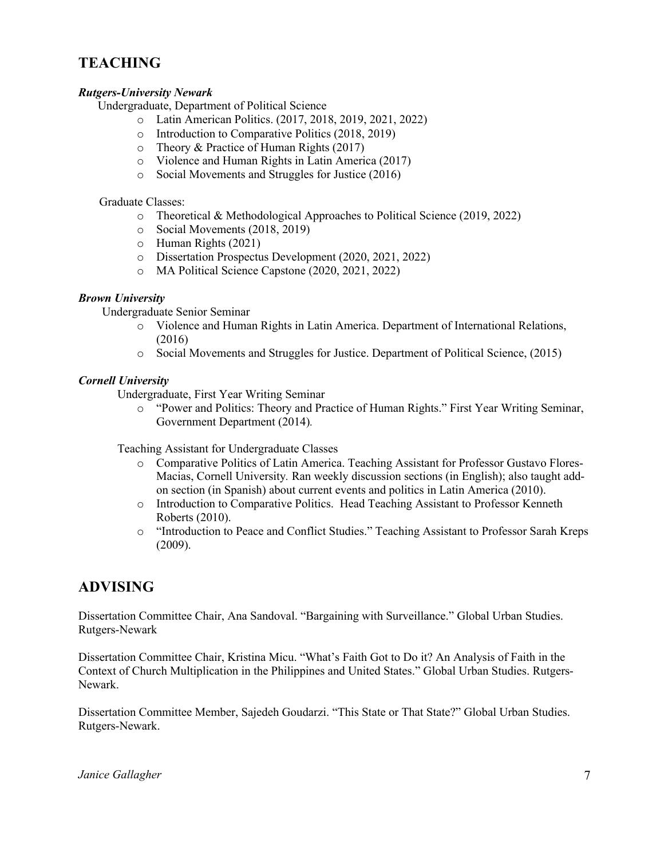## **TEACHING**

#### *Rutgers-University Newark*

Undergraduate, Department of Political Science

- o Latin American Politics. (2017, 2018, 2019, 2021, 2022)
- o Introduction to Comparative Politics (2018, 2019)
- o Theory & Practice of Human Rights (2017)
- o Violence and Human Rights in Latin America (2017)
- o Social Movements and Struggles for Justice (2016)

Graduate Classes:

- o Theoretical & Methodological Approaches to Political Science (2019, 2022)
- o Social Movements (2018, 2019)
- o Human Rights (2021)
- o Dissertation Prospectus Development (2020, 2021, 2022)
- o MA Political Science Capstone (2020, 2021, 2022)

#### *Brown University*

Undergraduate Senior Seminar

- o Violence and Human Rights in Latin America. Department of International Relations, (2016)
- o Social Movements and Struggles for Justice. Department of Political Science, (2015)

#### *Cornell University*

Undergraduate, First Year Writing Seminar

o "Power and Politics: Theory and Practice of Human Rights." First Year Writing Seminar, Government Department (2014)*.*

Teaching Assistant for Undergraduate Classes

- o Comparative Politics of Latin America. Teaching Assistant for Professor Gustavo Flores-Macias, Cornell University*.* Ran weekly discussion sections (in English); also taught addon section (in Spanish) about current events and politics in Latin America (2010).
- o Introduction to Comparative Politics. Head Teaching Assistant to Professor Kenneth Roberts (2010).
- o "Introduction to Peace and Conflict Studies." Teaching Assistant to Professor Sarah Kreps (2009).

### **ADVISING**

Dissertation Committee Chair, Ana Sandoval. "Bargaining with Surveillance." Global Urban Studies. Rutgers-Newark

Dissertation Committee Chair, Kristina Micu. "What's Faith Got to Do it? An Analysis of Faith in the Context of Church Multiplication in the Philippines and United States." Global Urban Studies. Rutgers-Newark.

Dissertation Committee Member, Sajedeh Goudarzi. "This State or That State?" Global Urban Studies. Rutgers-Newark.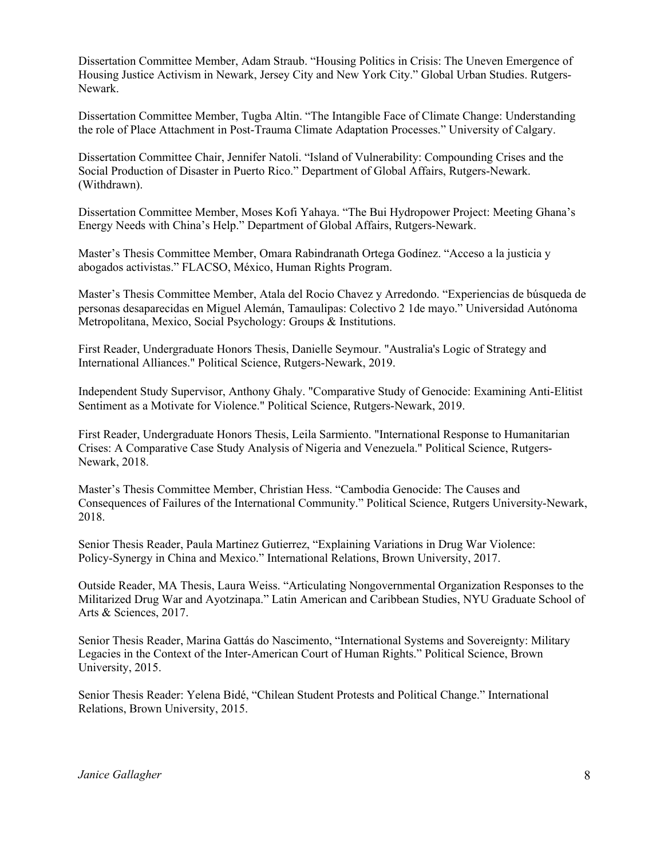Dissertation Committee Member, Adam Straub. "Housing Politics in Crisis: The Uneven Emergence of Housing Justice Activism in Newark, Jersey City and New York City." Global Urban Studies. Rutgers-Newark.

Dissertation Committee Member, Tugba Altin. "The Intangible Face of Climate Change: Understanding the role of Place Attachment in Post-Trauma Climate Adaptation Processes." University of Calgary.

Dissertation Committee Chair, Jennifer Natoli. "Island of Vulnerability: Compounding Crises and the Social Production of Disaster in Puerto Rico." Department of Global Affairs, Rutgers-Newark. (Withdrawn).

Dissertation Committee Member, Moses Kofi Yahaya. "The Bui Hydropower Project: Meeting Ghana's Energy Needs with China's Help." Department of Global Affairs, Rutgers-Newark.

Master's Thesis Committee Member, Omara Rabindranath Ortega Godínez. "Acceso a la justicia y abogados activistas." FLACSO, México, Human Rights Program.

Master's Thesis Committee Member, Atala del Rocio Chavez y Arredondo. "Experiencias de búsqueda de personas desaparecidas en Miguel Alemán, Tamaulipas: Colectivo 2 1de mayo." Universidad Autónoma Metropolitana, Mexico, Social Psychology: Groups & Institutions.

First Reader, Undergraduate Honors Thesis, Danielle Seymour. "Australia's Logic of Strategy and International Alliances." Political Science, Rutgers-Newark, 2019.

Independent Study Supervisor, Anthony Ghaly. "Comparative Study of Genocide: Examining Anti-Elitist Sentiment as a Motivate for Violence." Political Science, Rutgers-Newark, 2019.

First Reader, Undergraduate Honors Thesis, Leila Sarmiento. "International Response to Humanitarian Crises: A Comparative Case Study Analysis of Nigeria and Venezuela." Political Science, Rutgers-Newark, 2018.

Master's Thesis Committee Member, Christian Hess. "Cambodia Genocide: The Causes and Consequences of Failures of the International Community." Political Science, Rutgers University-Newark, 2018.

Senior Thesis Reader, Paula Martinez Gutierrez, "Explaining Variations in Drug War Violence: Policy-Synergy in China and Mexico." International Relations, Brown University, 2017.

Outside Reader, MA Thesis, Laura Weiss. "Articulating Nongovernmental Organization Responses to the Militarized Drug War and Ayotzinapa." Latin American and Caribbean Studies, NYU Graduate School of Arts & Sciences, 2017.

Senior Thesis Reader, Marina Gattás do Nascimento, "International Systems and Sovereignty: Military Legacies in the Context of the Inter-American Court of Human Rights." Political Science, Brown University, 2015.

Senior Thesis Reader: Yelena Bidé, "Chilean Student Protests and Political Change." International Relations, Brown University, 2015.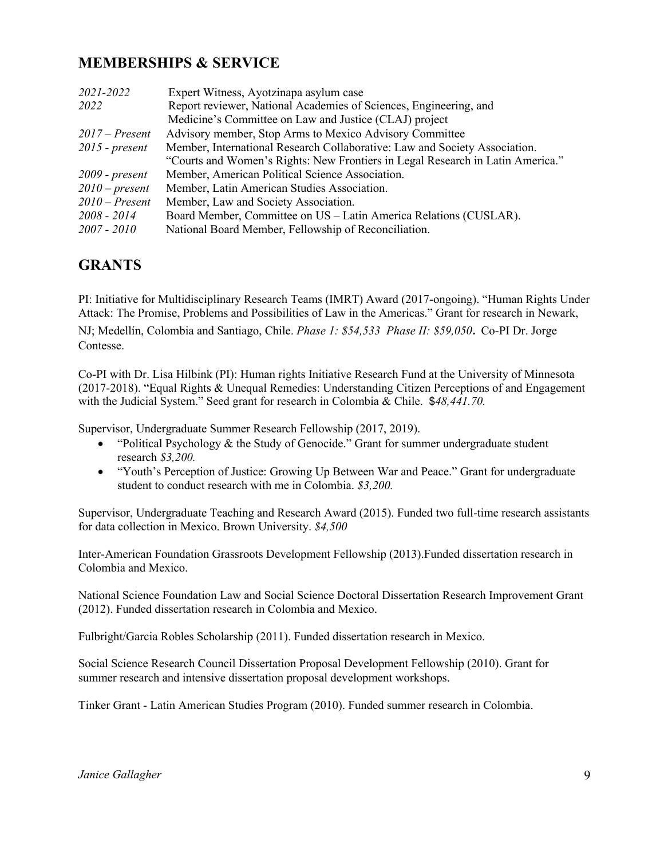## **MEMBERSHIPS & SERVICE**

| 2021-2022        | Expert Witness, Ayotzinapa asylum case                                         |
|------------------|--------------------------------------------------------------------------------|
| 2022             | Report reviewer, National Academies of Sciences, Engineering, and              |
|                  | Medicine's Committee on Law and Justice (CLAJ) project                         |
| $2017$ – Present | Advisory member, Stop Arms to Mexico Advisory Committee                        |
| $2015$ - present | Member, International Research Collaborative: Law and Society Association.     |
|                  | "Courts and Women's Rights: New Frontiers in Legal Research in Latin America." |
| $2009$ - present | Member, American Political Science Association.                                |
| $2010$ – present | Member, Latin American Studies Association.                                    |
| $2010$ – Present | Member, Law and Society Association.                                           |
| 2008 - 2014      | Board Member, Committee on US - Latin America Relations (CUSLAR).              |
| 2007 - 2010      | National Board Member, Fellowship of Reconciliation.                           |

## **GRANTS**

PI: Initiative for Multidisciplinary Research Teams (IMRT) Award (2017-ongoing). "Human Rights Under Attack: The Promise, Problems and Possibilities of Law in the Americas." Grant for research in Newark,

NJ; Medellín, Colombia and Santiago, Chile. *Phase 1: \$54,533 Phase II: \$59,050.* Co-PI Dr. Jorge Contesse.

Co-PI with Dr. Lisa Hilbink (PI): Human rights Initiative Research Fund at the University of Minnesota (2017-2018). "Equal Rights & Unequal Remedies: Understanding Citizen Perceptions of and Engagement with the Judicial System." Seed grant for research in Colombia & Chile. \$*48,441.70.*

Supervisor, Undergraduate Summer Research Fellowship (2017, 2019).

- "Political Psychology & the Study of Genocide." Grant for summer undergraduate student research *\$3,200.*
- "Youth's Perception of Justice: Growing Up Between War and Peace." Grant for undergraduate student to conduct research with me in Colombia. *\$3,200.*

Supervisor, Undergraduate Teaching and Research Award (2015). Funded two full-time research assistants for data collection in Mexico. Brown University. *\$4,500*

Inter-American Foundation Grassroots Development Fellowship (2013).Funded dissertation research in Colombia and Mexico.

National Science Foundation Law and Social Science Doctoral Dissertation Research Improvement Grant (2012). Funded dissertation research in Colombia and Mexico.

Fulbright/Garcia Robles Scholarship (2011). Funded dissertation research in Mexico.

Social Science Research Council Dissertation Proposal Development Fellowship (2010). Grant for summer research and intensive dissertation proposal development workshops.

Tinker Grant - Latin American Studies Program (2010). Funded summer research in Colombia.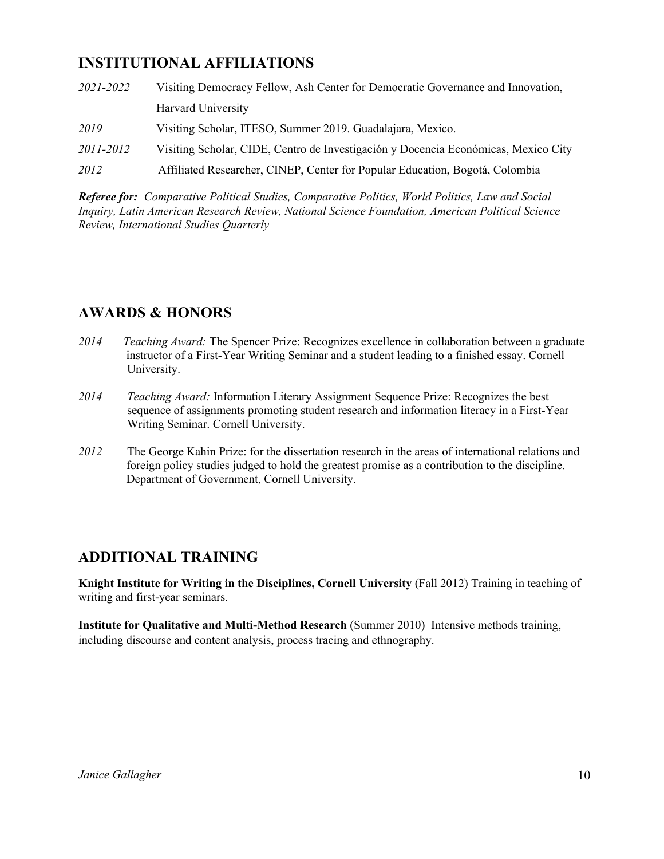## **INSTITUTIONAL AFFILIATIONS**

| 2021-2022 | Visiting Democracy Fellow, Ash Center for Democratic Governance and Innovation,    |
|-----------|------------------------------------------------------------------------------------|
|           | Harvard University                                                                 |
| 2019      | Visiting Scholar, ITESO, Summer 2019. Guadalajara, Mexico.                         |
| 2011-2012 | Visiting Scholar, CIDE, Centro de Investigación y Docencia Económicas, Mexico City |
| 2012      | Affiliated Researcher, CINEP, Center for Popular Education, Bogotá, Colombia       |

*Referee for: Comparative Political Studies, Comparative Politics, World Politics, Law and Social Inquiry, Latin American Research Review, National Science Foundation, American Political Science Review, International Studies Quarterly*

## **AWARDS & HONORS**

- *2014 Teaching Award:* The Spencer Prize: Recognizes excellence in collaboration between a graduate instructor of a First-Year Writing Seminar and a student leading to a finished essay. Cornell University.
- *2014 Teaching Award:* Information Literary Assignment Sequence Prize: Recognizes the best sequence of assignments promoting student research and information literacy in a First-Year Writing Seminar. Cornell University.
- *2012* The George Kahin Prize: for the dissertation research in the areas of international relations and foreign policy studies judged to hold the greatest promise as a contribution to the discipline. Department of Government, Cornell University.

## **ADDITIONAL TRAINING**

**Knight Institute for Writing in the Disciplines, Cornell University** (Fall 2012) Training in teaching of writing and first-year seminars.

**Institute for Qualitative and Multi-Method Research** (Summer 2010) Intensive methods training, including discourse and content analysis, process tracing and ethnography.